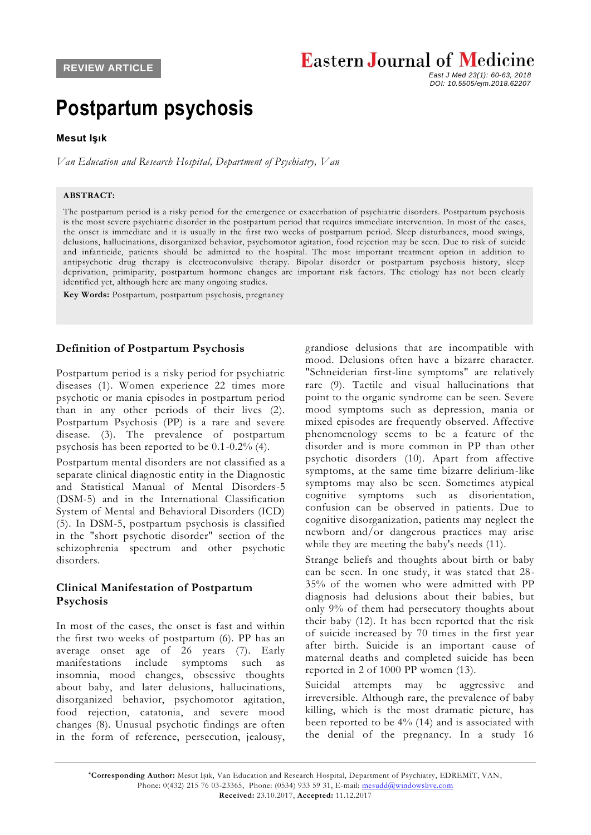# **Eastern Journal of Medicine**

 *East J Med 23(1): 60-63, 2018 DOI: 10.5505/ejm.2018.62207*

# **Postpartum psychosis**

#### **Mesut Işık**

*Van Education and Research Hospital, Department of Psychiatry, Van*

#### **ABSTRACT:**

The postpartum period is a risky period for the emergence or exacerbation of psychiatric disorders. Postpartum psychosis is the most severe psychiatric disorder in the postpartum period that requires immediate intervention. In most of the cases, the onset is immediate and it is usually in the first two weeks of postpartum period. Sleep disturbances, mood swings, delusions, hallucinations, disorganized behavior, psychomotor agitation, food rejection may be seen. Due to risk of suicide and infanticide, patients should be admitted to the hospital. The most important treatment option in addition to antipsychotic drug therapy is electroconvulsive therapy. Bipolar disorder or postpartum psychosis history, sleep deprivation, primiparity, postpartum hormone changes are important risk factors. The etiology has not been clearly identified yet, although here are many ongoing studies.

**Key Words:** Postpartum, postpartum psychosis, pregnancy

#### **Definition of Postpartum Psychosis**

Postpartum period is a risky period for psychiatric diseases (1). Women experience 22 times more psychotic or mania episodes in postpartum period than in any other periods of their lives (2). Postpartum Psychosis (PP) is a rare and severe disease. (3). The prevalence of postpartum psychosis has been reported to be 0.1-0.2% (4).

Postpartum mental disorders are not classified as a separate clinical diagnostic entity in the Diagnostic and Statistical Manual of Mental Disorders-5 (DSM-5) and in the International Classification System of Mental and Behavioral Disorders (ICD) (5). In DSM-5, postpartum psychosis is classified in the "short psychotic disorder" section of the schizophrenia spectrum and other psychotic disorders.

### **Clinical Manifestation of Postpartum Psychosis**

In most of the cases, the onset is fast and within the first two weeks of postpartum (6). PP has an average onset age of 26 years (7). Early manifestations include symptoms such as insomnia, mood changes, obsessive thoughts about baby, and later delusions, hallucinations, disorganized behavior, psychomotor agitation, food rejection, catatonia, and severe mood changes (8). Unusual psychotic findings are often in the form of reference, persecution, jealousy,

grandiose delusions that are incompatible with mood. Delusions often have a bizarre character. "Schneiderian first-line symptoms" are relatively rare (9). Tactile and visual hallucinations that point to the organic syndrome can be seen. Severe mood symptoms such as depression, mania or mixed episodes are frequently observed. Affective phenomenology seems to be a feature of the disorder and is more common in PP than other psychotic disorders (10). Apart from affective symptoms, at the same time bizarre delirium-like symptoms may also be seen. Sometimes atypical cognitive symptoms such as disorientation, confusion can be observed in patients. Due to cognitive disorganization, patients may neglect the newborn and/or dangerous practices may arise while they are meeting the baby's needs (11).

Strange beliefs and thoughts about birth or baby can be seen. In one study, it was stated that 28- 35% of the women who were admitted with PP diagnosis had delusions about their babies, but only 9% of them had persecutory thoughts about their baby (12). It has been reported that the risk of suicide increased by 70 times in the first year after birth. Suicide is an important cause of maternal deaths and completed suicide has been reported in 2 of 1000 PP women (13).

Suicidal attempts may be aggressive and irreversible. Although rare, the prevalence of baby killing, which is the most dramatic picture, has been reported to be 4% (14) and is associated with the denial of the pregnancy. In a study 16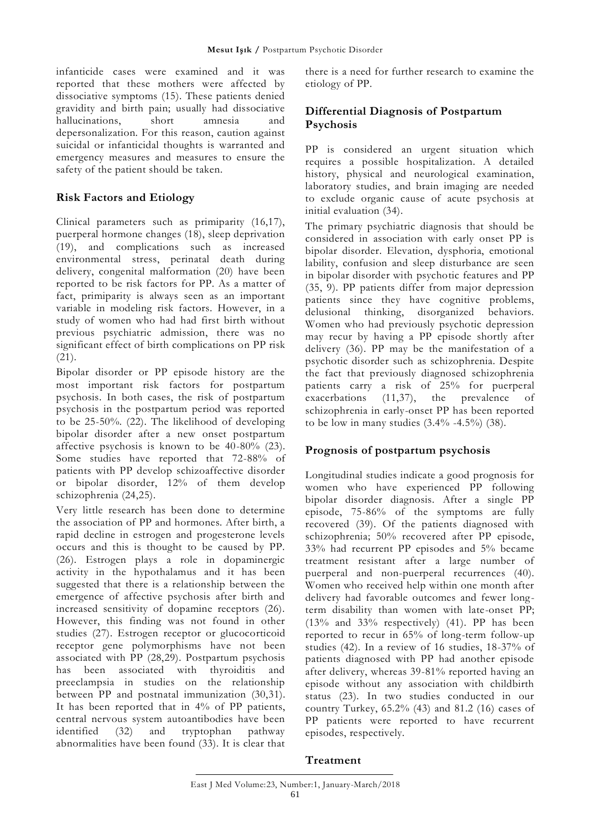infanticide cases were examined and it was reported that these mothers were affected by dissociative symptoms (15). These patients denied gravidity and birth pain; usually had dissociative hallucinations, short amnesia and depersonalization. For this reason, caution against suicidal or infanticidal thoughts is warranted and emergency measures and measures to ensure the safety of the patient should be taken.

# **Risk Factors and Etiology**

Clinical parameters such as primiparity (16,17), puerperal hormone changes (18), sleep deprivation (19), and complications such as increased environmental stress, perinatal death during delivery, congenital malformation (20) have been reported to be risk factors for PP. As a matter of fact, primiparity is always seen as an important variable in modeling risk factors. However, in a study of women who had had first birth without previous psychiatric admission, there was no significant effect of birth complications on PP risk (21).

Bipolar disorder or PP episode history are the most important risk factors for postpartum psychosis. In both cases, the risk of postpartum psychosis in the postpartum period was reported to be 25-50%. (22). The likelihood of developing bipolar disorder after a new onset postpartum affective psychosis is known to be 40-80% (23). Some studies have reported that 72-88% of patients with PP develop schizoaffective disorder or bipolar disorder, 12% of them develop schizophrenia (24,25).

Very little research has been done to determine the association of PP and hormones. After birth, a rapid decline in estrogen and progesterone levels occurs and this is thought to be caused by PP. (26). Estrogen plays a role in dopaminergic activity in the hypothalamus and it has been suggested that there is a relationship between the emergence of affective psychosis after birth and increased sensitivity of dopamine receptors (26). However, this finding was not found in other studies (27). Estrogen receptor or glucocorticoid receptor gene polymorphisms have not been associated with PP (28,29). Postpartum psychosis has been associated with thyroiditis and preeclampsia in studies on the relationship between PP and postnatal immunization (30,31). It has been reported that in 4% of PP patients, central nervous system autoantibodies have been identified (32) and tryptophan pathway abnormalities have been found (33). It is clear that

there is a need for further research to examine the etiology of PP.

## **Differential Diagnosis of Postpartum Psychosis**

PP is considered an urgent situation which requires a possible hospitalization. A detailed history, physical and neurological examination, laboratory studies, and brain imaging are needed to exclude organic cause of acute psychosis at initial evaluation (34).

The primary psychiatric diagnosis that should be considered in association with early onset PP is bipolar disorder. Elevation, dysphoria, emotional lability, confusion and sleep disturbance are seen in bipolar disorder with psychotic features and PP (35, 9). PP patients differ from major depression patients since they have cognitive problems, delusional thinking, disorganized behaviors. Women who had previously psychotic depression may recur by having a PP episode shortly after delivery (36). PP may be the manifestation of a psychotic disorder such as schizophrenia. Despite the fact that previously diagnosed schizophrenia patients carry a risk of 25% for puerperal exacerbations (11,37), the prevalence of schizophrenia in early-onset PP has been reported to be low in many studies  $(3.4\% -4.5\%)$  (38).

## **Prognosis of postpartum psychosis**

Longitudinal studies indicate a good prognosis for women who have experienced PP following bipolar disorder diagnosis. After a single PP episode, 75-86% of the symptoms are fully recovered (39). Of the patients diagnosed with schizophrenia; 50% recovered after PP episode, 33% had recurrent PP episodes and 5% became treatment resistant after a large number of puerperal and non-puerperal recurrences (40). Women who received help within one month after delivery had favorable outcomes and fewer longterm disability than women with late-onset PP; (13% and 33% respectively) (41). PP has been reported to recur in 65% of long-term follow-up studies (42). In a review of 16 studies, 18-37% of patients diagnosed with PP had another episode after delivery, whereas 39-81% reported having an episode without any association with childbirth status (23). In two studies conducted in our country Turkey, 65.2% (43) and 81.2 (16) cases of PP patients were reported to have recurrent episodes, respectively.

## **Treatment**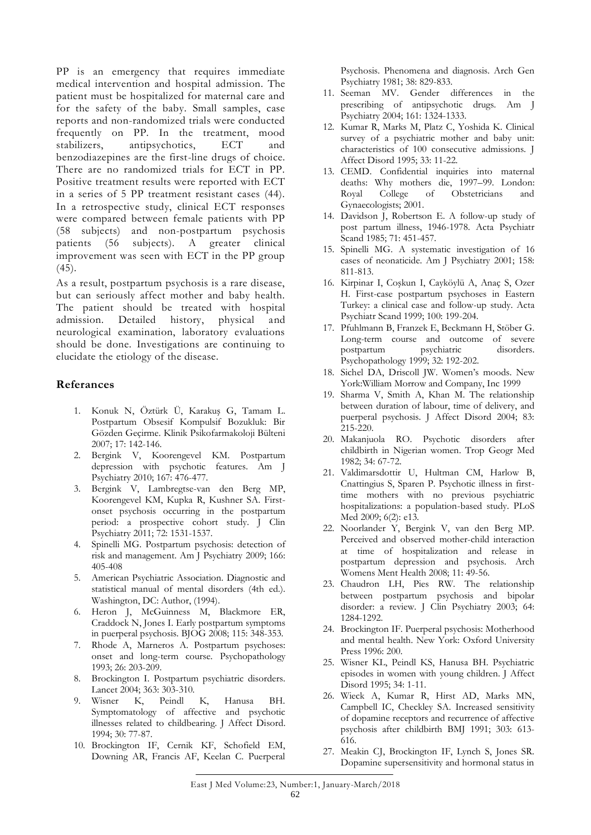PP is an emergency that requires immediate medical intervention and hospital admission. The patient must be hospitalized for maternal care and for the safety of the baby. Small samples, case reports and non-randomized trials were conducted frequently on PP. In the treatment, mood stabilizers, antipsychotics, ECT and benzodiazepines are the first-line drugs of choice. There are no randomized trials for ECT in PP. Positive treatment results were reported with ECT in a series of 5 PP treatment resistant cases (44). In a retrospective study, clinical ECT responses were compared between female patients with PP (58 subjects) and non-postpartum psychosis patients (56 subjects). A greater clinical improvement was seen with ECT in the PP group  $(45).$ 

As a result, postpartum psychosis is a rare disease, but can seriously affect mother and baby health. The patient should be treated with hospital admission. Detailed history, physical and neurological examination, laboratory evaluations should be done. Investigations are continuing to elucidate the etiology of the disease.

### **Referances**

- 1. Konuk N, Öztürk Ü, Karakuş G, Tamam L. Postpartum Obsesif Kompulsif Bozukluk: Bir Gözden Geçirme. Klinik Psikofarmakoloji Bülteni 2007; 17: 142-146.
- 2. Bergink V, Koorengevel KM. Postpartum depression with psychotic features. Am J Psychiatry 2010; 167: 476-477.
- 3. Bergink V, Lambregtse-van den Berg MP, Koorengevel KM, Kupka R, Kushner SA. Firstonset psychosis occurring in the postpartum period: a prospective cohort study. J Clin Psychiatry 2011; 72: 1531-1537.
- 4. Spinelli MG. Postpartum psychosis: detection of risk and management. Am J Psychiatry 2009; 166: 405-408
- 5. American Psychiatric Association. Diagnostic and statistical manual of mental disorders (4th ed.). Washington, DC: Author, (1994).
- 6. Heron J, McGuinness M, Blackmore ER, Craddock N, Jones I. Early postpartum symptoms in puerperal psychosis. BJOG 2008; 115: 348-353.
- 7. Rhode A, Marneros A. Postpartum psychoses: onset and long-term course. Psychopathology 1993; 26: 203-209.
- 8. Brockington I. Postpartum psychiatric disorders. Lancet 2004; 363: 303-310.
- 9. Wisner K, Peindl K, Hanusa BH. Symptomatology of affective and psychotic illnesses related to childbearing. J Affect Disord. 1994; 30: 77-87.
- 10. Brockington IF, Cernik KF, Schofield EM, Downing AR, Francis AF, Keelan C. Puerperal

Psychosis. Phenomena and diagnosis. Arch Gen Psychiatry 1981; 38: 829-833.

- 11. Seeman MV. Gender differences in the prescribing of antipsychotic drugs. Am J Psychiatry 2004; 161: 1324-1333.
- 12. Kumar R, Marks M, Platz C, Yoshida K. Clinical survey of a psychiatric mother and baby unit: characteristics of 100 consecutive admissions. J Affect Disord 1995; 33: 11-22.
- 13. CEMD. Confidential inquiries into maternal deaths: Why mothers die, 1997–99. London: Royal College of Obstetricians and Gynaecologists; 2001.
- 14. Davidson J, Robertson E. A follow-up study of post partum illness, 1946-1978. Acta Psychiatr Scand 1985; 71: 451-457.
- 15. Spinelli MG. A systematic investigation of 16 cases of neonaticide. Am J Psychiatry 2001; 158: 811-813.
- 16. Kirpinar I, Coşkun I, Cayköylü A, Anaç S, Ozer H. First-case postpartum psychoses in Eastern Turkey: a clinical case and follow-up study. Acta Psychiatr Scand 1999; 100: 199-204.
- 17. Pfuhlmann B, Franzek E, Beckmann H, Stöber G. Long-term course and outcome of severe postpartum psychiatric disorders. Psychopathology 1999; 32: 192-202.
- 18. Sichel DA, Driscoll JW. Women's moods. New York:William Morrow and Company, Inc 1999
- 19. Sharma V, Smith A, Khan M. The relationship between duration of labour, time of delivery, and puerperal psychosis. J Affect Disord 2004; 83: 215-220.
- 20. Makanjuola RO. Psychotic disorders after childbirth in Nigerian women. Trop Geogr Med 1982; 34: 67-72.
- 21. Valdimarsdottir U, Hultman CM, Harlow B, Cnattingius S, Sparen P. Psychotic illness in firsttime mothers with no previous psychiatric hospitalizations: a population-based study. PLoS Med 2009; 6(2): e13.
- 22. Noorlander Y, Bergink V, van den Berg MP. Perceived and observed mother-child interaction at time of hospitalization and release in postpartum depression and psychosis. Arch Womens Ment Health 2008; 11: 49-56.
- 23. Chaudron LH, Pies RW. The relationship between postpartum psychosis and bipolar disorder: a review. J Clin Psychiatry 2003; 64: 1284-1292.
- 24. Brockington IF. Puerperal psychosis: Motherhood and mental health. New York: Oxford University Press 1996: 200.
- 25. Wisner KL, Peindl KS, Hanusa BH. Psychiatric episodes in women with young children. J Affect Disord 1995; 34: 1-11.
- 26. Wieck A, Kumar R, Hirst AD, Marks MN, Campbell IC, Checkley SA. Increased sensitivity of dopamine receptors and recurrence of affective psychosis after childbirth BMJ 1991; 303: 613- 616.
- 27. Meakin CJ, Brockington IF, Lynch S, Jones SR. Dopamine supersensitivity and hormonal status in